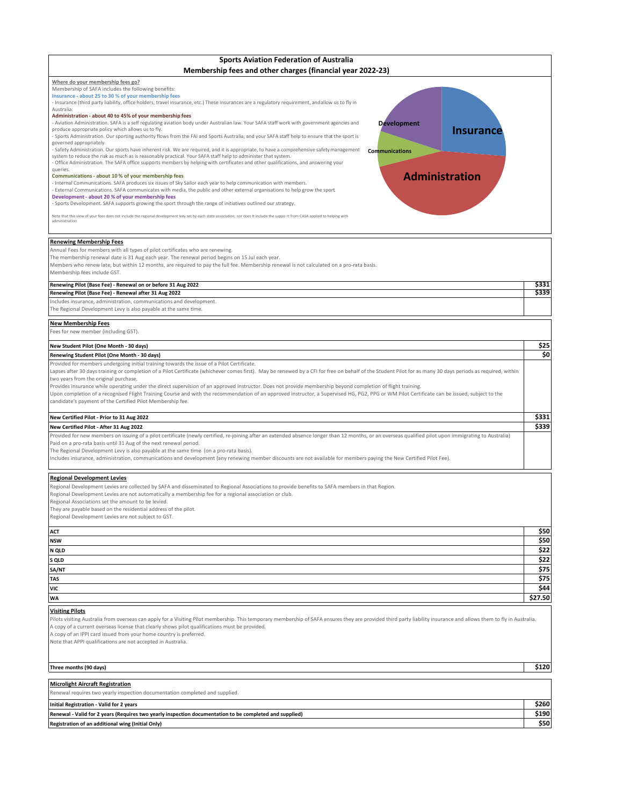| <b>Sports Aviation Federation of Australia</b><br>Membership fees and other charges (financial year 2022-23)                                                                                                                                                                                                                                                                                                                                                                                                                                                                                                                                                                                                                                                                                                                                                                                                                                                                                                                                                                                                                                                                                                                                                                                                                                                                                                                                                                                                                                                                                                                                                                                                                                                                                                                                                                                                                                                     |                |
|------------------------------------------------------------------------------------------------------------------------------------------------------------------------------------------------------------------------------------------------------------------------------------------------------------------------------------------------------------------------------------------------------------------------------------------------------------------------------------------------------------------------------------------------------------------------------------------------------------------------------------------------------------------------------------------------------------------------------------------------------------------------------------------------------------------------------------------------------------------------------------------------------------------------------------------------------------------------------------------------------------------------------------------------------------------------------------------------------------------------------------------------------------------------------------------------------------------------------------------------------------------------------------------------------------------------------------------------------------------------------------------------------------------------------------------------------------------------------------------------------------------------------------------------------------------------------------------------------------------------------------------------------------------------------------------------------------------------------------------------------------------------------------------------------------------------------------------------------------------------------------------------------------------------------------------------------------------|----------------|
| Where do your membership fees go?<br>Membership of SAFA includes the following benefits:<br>Insurance - about 25 to 30 % of your membership fees<br>- Insurance (third party liability, office holders, travel insurance, etc.) These insurances are a regulatory requirement, andallow us to fly in<br>Australia.<br>Administration - about 40 to 45% of your membership fees<br>- Aviation Administration. SAFA is a self regulating aviation body under Australian law. Your SAFA staff work with government agencies and<br><b>Development</b><br>produce appropriate policy which allows us to fly.<br><b>Insurance</b><br>- Sports Administration. Our sporting authority flows from the FAI and Sports Australia, and your SAFA staff help to ensure that the sport is<br>governed appropriately.<br>- Safety Administration. Our sports have inherent risk. We are required, and it is appropriate, to have a comprehensive safety management<br><b>Communications</b><br>system to reduce the risk as much as is reasonably practical. Your SAFA staff help to administer that system.<br>- Office Administration. The SAFA office supports members by helping with certificates and other qualifications, and answering your<br>queries.<br><b>Administration</b><br>Communications - about 10 % of your membership fees<br>- Internal Communications. SAFA produces six issues of Sky Sailor each year to help communication with members.<br>- External Communications. SAFA communicates with media, the public and other external organisations to help grow the sport<br>Development - about 20 % of your membership fees<br>- Sports Development. SAFA supports growing the sport through the range of initiatives outlined our strategy.<br>Note that this view of your fees does not include the regional development levy set by each state association, nor does it include the suppo rt from CASA applied to helping with<br>administration |                |
| <b>Renewing Membership Fees</b>                                                                                                                                                                                                                                                                                                                                                                                                                                                                                                                                                                                                                                                                                                                                                                                                                                                                                                                                                                                                                                                                                                                                                                                                                                                                                                                                                                                                                                                                                                                                                                                                                                                                                                                                                                                                                                                                                                                                  |                |
| Annual Fees for members with all types of pilot certificates who are renewing.<br>The membership renewal date is 31 Aug each year. The renewal period begins on 15 Jul each year.<br>Members who renew late, but within 12 months, are required to pay the full fee. Membership renewal is not calculated on a pro-rata basis.<br>Membership fees include GST.<br>Renewing Pilot (Base Fee) - Renewal on or before 31 Aug 2022<br>Renewing Pilot (Base Fee) - Renewal after 31 Aug 2022                                                                                                                                                                                                                                                                                                                                                                                                                                                                                                                                                                                                                                                                                                                                                                                                                                                                                                                                                                                                                                                                                                                                                                                                                                                                                                                                                                                                                                                                          | \$331<br>\$339 |
| Includes insurance, administration, communications and development.                                                                                                                                                                                                                                                                                                                                                                                                                                                                                                                                                                                                                                                                                                                                                                                                                                                                                                                                                                                                                                                                                                                                                                                                                                                                                                                                                                                                                                                                                                                                                                                                                                                                                                                                                                                                                                                                                              |                |
| The Regional Development Levy is also payable at the same time.                                                                                                                                                                                                                                                                                                                                                                                                                                                                                                                                                                                                                                                                                                                                                                                                                                                                                                                                                                                                                                                                                                                                                                                                                                                                                                                                                                                                                                                                                                                                                                                                                                                                                                                                                                                                                                                                                                  |                |
| <b>New Membership Fees</b><br>Fees for new member (including GST).                                                                                                                                                                                                                                                                                                                                                                                                                                                                                                                                                                                                                                                                                                                                                                                                                                                                                                                                                                                                                                                                                                                                                                                                                                                                                                                                                                                                                                                                                                                                                                                                                                                                                                                                                                                                                                                                                               |                |
| New Student Pilot (One Month - 30 days)                                                                                                                                                                                                                                                                                                                                                                                                                                                                                                                                                                                                                                                                                                                                                                                                                                                                                                                                                                                                                                                                                                                                                                                                                                                                                                                                                                                                                                                                                                                                                                                                                                                                                                                                                                                                                                                                                                                          | \$25           |
| Renewing Student Pilot (One Month - 30 days)                                                                                                                                                                                                                                                                                                                                                                                                                                                                                                                                                                                                                                                                                                                                                                                                                                                                                                                                                                                                                                                                                                                                                                                                                                                                                                                                                                                                                                                                                                                                                                                                                                                                                                                                                                                                                                                                                                                     | \$0            |
| Provided for members undergoing initial training towards the issue of a Pilot Certificate.<br>Lapses after 30 days training or completion of a Pilot Certificate (whichever comes first). May be renewed by a CFI for free on behalf of the Student Pilot for as many 30 days periods as required, within<br>two years from the original purchase.<br>Provides insurance while operating under the direct supervision of an approved Instructor. Does not provide membership beyond completion of flight training.<br>Upon completion of a recognised Flight Training Course and with the recommendation of an approved instructor, a Supervised HG, PG2, PPG or WM Pilot Certificate can be issued, subject to the<br>candidate's payment of the Certified Pilot Membership fee.                                                                                                                                                                                                                                                                                                                                                                                                                                                                                                                                                                                                                                                                                                                                                                                                                                                                                                                                                                                                                                                                                                                                                                                |                |
| New Certified Pilot - Prior to 31 Aug 2022                                                                                                                                                                                                                                                                                                                                                                                                                                                                                                                                                                                                                                                                                                                                                                                                                                                                                                                                                                                                                                                                                                                                                                                                                                                                                                                                                                                                                                                                                                                                                                                                                                                                                                                                                                                                                                                                                                                       | \$331          |
| New Certified Pilot - After 31 Aug 2022<br>Provided for new members on issuing of a pilot certificate (newly certified, re-joining after an extended absence longer than 12 months, or an overseas qualified pilot upon immigrating to Australia)<br>Paid on a pro-rata basis until 31 Aug of the next renewal period.<br>The Regional Development Levy is also payable at the same time (on a pro-rata basis).<br>Includes insurance, administration, communications and development (any renewing member discounts are not available for members paying the New Certified Pilot Fee).                                                                                                                                                                                                                                                                                                                                                                                                                                                                                                                                                                                                                                                                                                                                                                                                                                                                                                                                                                                                                                                                                                                                                                                                                                                                                                                                                                          | \$339          |
| <b>Regional Development Levies</b><br>Regional Development Levies are collected by SAFA and disseminated to Regional Associations to provide benefits to SAFA members in that Region.<br>Regional Development Levies are not automatically a membership fee for a regional association or club.<br>Regional Associations set the amount to be levied.<br>They are payable based on the residential address of the pilot.<br>Regional Development Levies are not subject to GST.                                                                                                                                                                                                                                                                                                                                                                                                                                                                                                                                                                                                                                                                                                                                                                                                                                                                                                                                                                                                                                                                                                                                                                                                                                                                                                                                                                                                                                                                                  |                |
| ACT                                                                                                                                                                                                                                                                                                                                                                                                                                                                                                                                                                                                                                                                                                                                                                                                                                                                                                                                                                                                                                                                                                                                                                                                                                                                                                                                                                                                                                                                                                                                                                                                                                                                                                                                                                                                                                                                                                                                                              | \$50           |
| <b>NSW</b>                                                                                                                                                                                                                                                                                                                                                                                                                                                                                                                                                                                                                                                                                                                                                                                                                                                                                                                                                                                                                                                                                                                                                                                                                                                                                                                                                                                                                                                                                                                                                                                                                                                                                                                                                                                                                                                                                                                                                       | \$50           |
| N QLD                                                                                                                                                                                                                                                                                                                                                                                                                                                                                                                                                                                                                                                                                                                                                                                                                                                                                                                                                                                                                                                                                                                                                                                                                                                                                                                                                                                                                                                                                                                                                                                                                                                                                                                                                                                                                                                                                                                                                            | \$22           |
| S QLD                                                                                                                                                                                                                                                                                                                                                                                                                                                                                                                                                                                                                                                                                                                                                                                                                                                                                                                                                                                                                                                                                                                                                                                                                                                                                                                                                                                                                                                                                                                                                                                                                                                                                                                                                                                                                                                                                                                                                            | \$22           |
| SA/NT                                                                                                                                                                                                                                                                                                                                                                                                                                                                                                                                                                                                                                                                                                                                                                                                                                                                                                                                                                                                                                                                                                                                                                                                                                                                                                                                                                                                                                                                                                                                                                                                                                                                                                                                                                                                                                                                                                                                                            | \$75           |
| TAS<br><b>VIC</b>                                                                                                                                                                                                                                                                                                                                                                                                                                                                                                                                                                                                                                                                                                                                                                                                                                                                                                                                                                                                                                                                                                                                                                                                                                                                                                                                                                                                                                                                                                                                                                                                                                                                                                                                                                                                                                                                                                                                                | \$75<br>\$44   |
| WA                                                                                                                                                                                                                                                                                                                                                                                                                                                                                                                                                                                                                                                                                                                                                                                                                                                                                                                                                                                                                                                                                                                                                                                                                                                                                                                                                                                                                                                                                                                                                                                                                                                                                                                                                                                                                                                                                                                                                               | \$27.50        |
|                                                                                                                                                                                                                                                                                                                                                                                                                                                                                                                                                                                                                                                                                                                                                                                                                                                                                                                                                                                                                                                                                                                                                                                                                                                                                                                                                                                                                                                                                                                                                                                                                                                                                                                                                                                                                                                                                                                                                                  |                |
| <b>Visiting Pilots</b><br>Pilots visiting Australia from overseas can apply for a Visiting Pilot membership. This temporary membership of SAFA ensures they are provided third party liability insurance and allows them to fly in Australia.<br>A copy of a current overseas license that clearly shows pilot qualifications must be provided.<br>A copy of an IPPI card issued from your home country is preferred.<br>Note that APPI qualifications are not accepted in Australia.                                                                                                                                                                                                                                                                                                                                                                                                                                                                                                                                                                                                                                                                                                                                                                                                                                                                                                                                                                                                                                                                                                                                                                                                                                                                                                                                                                                                                                                                            |                |
| Three months (90 days)                                                                                                                                                                                                                                                                                                                                                                                                                                                                                                                                                                                                                                                                                                                                                                                                                                                                                                                                                                                                                                                                                                                                                                                                                                                                                                                                                                                                                                                                                                                                                                                                                                                                                                                                                                                                                                                                                                                                           | \$120          |
| <b>Microlight Aircraft Registration</b>                                                                                                                                                                                                                                                                                                                                                                                                                                                                                                                                                                                                                                                                                                                                                                                                                                                                                                                                                                                                                                                                                                                                                                                                                                                                                                                                                                                                                                                                                                                                                                                                                                                                                                                                                                                                                                                                                                                          |                |
| Renewal requires two yearly inspection documentation completed and supplied.                                                                                                                                                                                                                                                                                                                                                                                                                                                                                                                                                                                                                                                                                                                                                                                                                                                                                                                                                                                                                                                                                                                                                                                                                                                                                                                                                                                                                                                                                                                                                                                                                                                                                                                                                                                                                                                                                     |                |
| <b>Initial Registration - Valid for 2 years</b>                                                                                                                                                                                                                                                                                                                                                                                                                                                                                                                                                                                                                                                                                                                                                                                                                                                                                                                                                                                                                                                                                                                                                                                                                                                                                                                                                                                                                                                                                                                                                                                                                                                                                                                                                                                                                                                                                                                  | \$260          |
| Renewal - Valid for 2 years (Requires two yearly inspection documentation to be completed and supplied)                                                                                                                                                                                                                                                                                                                                                                                                                                                                                                                                                                                                                                                                                                                                                                                                                                                                                                                                                                                                                                                                                                                                                                                                                                                                                                                                                                                                                                                                                                                                                                                                                                                                                                                                                                                                                                                          | \$190          |
| Registration of an additional wing (Initial Only)                                                                                                                                                                                                                                                                                                                                                                                                                                                                                                                                                                                                                                                                                                                                                                                                                                                                                                                                                                                                                                                                                                                                                                                                                                                                                                                                                                                                                                                                                                                                                                                                                                                                                                                                                                                                                                                                                                                | \$50           |